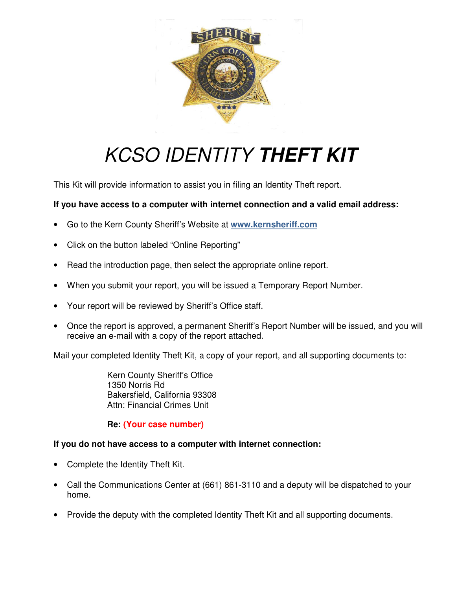

# KCSO IDENTITY **THEFT KIT**

This Kit will provide information to assist you in filing an Identity Theft report.

#### **If you have access to a computer with internet connection and a valid email address:**

- Go to the Kern County Sheriff's Website at **www.kernsheriff.com**
- Click on the button labeled "Online Reporting"
- Read the introduction page, then select the appropriate online report.
- When you submit your report, you will be issued a Temporary Report Number.
- Your report will be reviewed by Sheriff's Office staff.
- Once the report is approved, a permanent Sheriff's Report Number will be issued, and you will receive an e-mail with a copy of the report attached.

Mail your completed Identity Theft Kit, a copy of your report, and all supporting documents to:

Kern County Sheriff's Office 1350 Norris Rd Bakersfield, California 93308 Attn: Financial Crimes Unit

**Re: (Your case number)**

#### **If you do not have access to a computer with internet connection:**

- Complete the Identity Theft Kit.
- Call the Communications Center at (661) 861-3110 and a deputy will be dispatched to your home.
- Provide the deputy with the completed Identity Theft Kit and all supporting documents.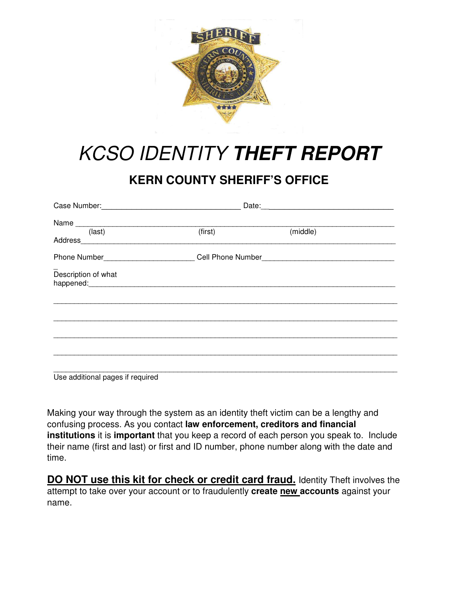

# KCSO IDENTITY **THEFT REPORT**

# **KERN COUNTY SHERIFF'S OFFICE**

| Name<br>(last)<br>Address Address Address Address Address Address Address Address Address Address Address Address Address Address A    | (first) | (middle) |  |
|----------------------------------------------------------------------------------------------------------------------------------------|---------|----------|--|
|                                                                                                                                        |         |          |  |
| Description of what<br>happened: happened: happened: happened: happened: happened: happened: happened: happened: happened: happened: h |         |          |  |
|                                                                                                                                        |         |          |  |
|                                                                                                                                        |         |          |  |

Use additional pages if required

Making your way through the system as an identity theft victim can be a lengthy and confusing process. As you contact **law enforcement, creditors and financial institutions** it is **important** that you keep a record of each person you speak to. Include their name (first and last) or first and ID number, phone number along with the date and time.

**DO NOT use this kit for check or credit card fraud.** Identity Theft involves the attempt to take over your account or to fraudulently **create new accounts** against your name.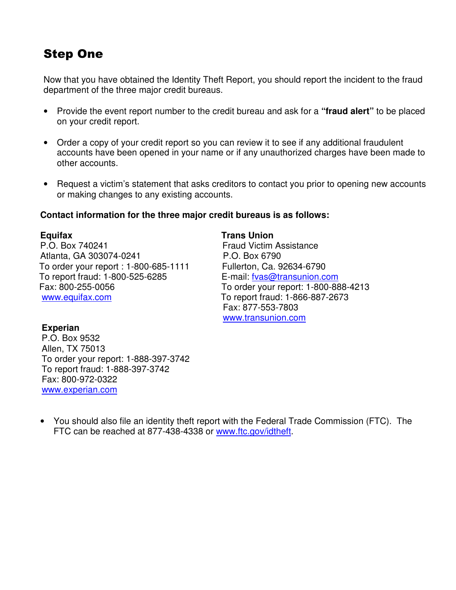### Step One

Now that you have obtained the Identity Theft Report, you should report the incident to the fraud department of the three major credit bureaus.

- Provide the event report number to the credit bureau and ask for a **"fraud alert"** to be placed on your credit report.
- Order a copy of your credit report so you can review it to see if any additional fraudulent accounts have been opened in your name or if any unauthorized charges have been made to other accounts.
- Request a victim's statement that asks creditors to contact you prior to opening new accounts or making changes to any existing accounts.

#### **Contact information for the three major credit bureaus is as follows:**

P.O. Box 740241 Fraud Victim Assistance Atlanta, GA 303074-0241 P.O. Box 6790 To order your report : 1-800-685-1111 Fullerton, Ca. 92634-6790 To report fraud: 1-800-525-6285 E-mail: fvas@transunion.com Fax: 800-255-0056 To order your report: 1-800-888-4213 www.equifax.com To report fraud: 1-866-887-2673

**Equitax** Trans Union **Trans** Fax: 877-553-7803 www.transunion.com

#### **Experian**

 P.O. Box 9532 Allen, TX 75013 To order your report: 1-888-397-3742 To report fraud: 1-888-397-3742 Fax: 800-972-0322 www.experian.com

• You should also file an identity theft report with the Federal Trade Commission (FTC). The FTC can be reached at 877-438-4338 or www.ftc.gov/idtheft.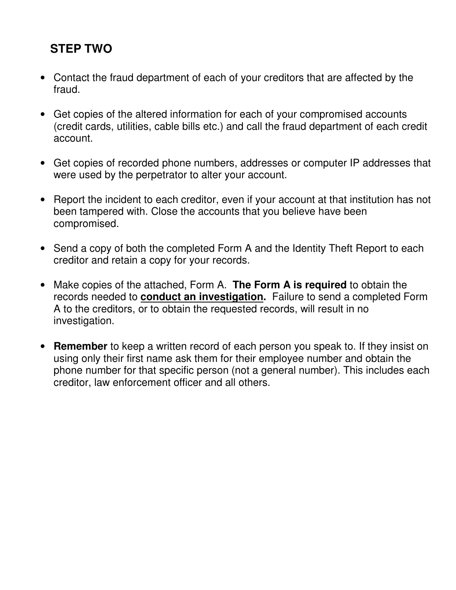### **STEP TWO**

- Contact the fraud department of each of your creditors that are affected by the fraud.
- Get copies of the altered information for each of your compromised accounts (credit cards, utilities, cable bills etc.) and call the fraud department of each credit account.
- Get copies of recorded phone numbers, addresses or computer IP addresses that were used by the perpetrator to alter your account.
- Report the incident to each creditor, even if your account at that institution has not been tampered with. Close the accounts that you believe have been compromised.
- Send a copy of both the completed Form A and the Identity Theft Report to each creditor and retain a copy for your records.
- Make copies of the attached, Form A. **The Form A is required** to obtain the records needed to **conduct an investigation.** Failure to send a completed Form A to the creditors, or to obtain the requested records, will result in no investigation.
- **Remember** to keep a written record of each person you speak to. If they insist on using only their first name ask them for their employee number and obtain the phone number for that specific person (not a general number). This includes each creditor, law enforcement officer and all others.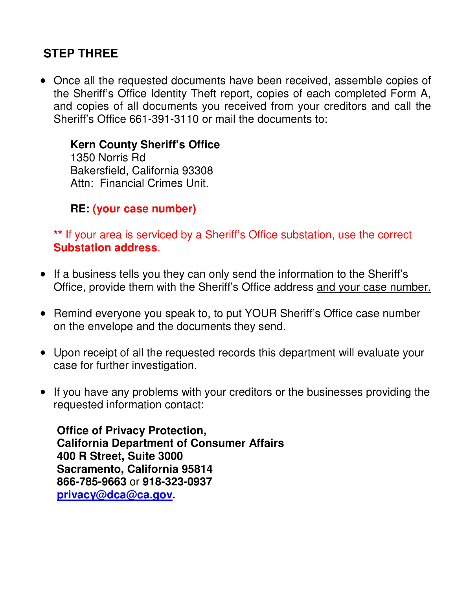### **STEP THREE**

• Once all the requested documents have been received, assemble copies of the Sheriff's Office Identity Theft report, copies of each completed Form A, and copies of all documents you received from your creditors and call the Sheriff's Office 661-391-3110 or mail the documents to:

#### **Kern County Sheriff's Office**

1350 Norris Rd Bakersfield, California 93308 Attn: Financial Crimes Unit.

### **RE: (your case number)**

**\*\*** If your area is serviced by a Sheriff's Office substation, use the correct **Substation address**.

- If a business tells you they can only send the information to the Sheriff's Office, provide them with the Sheriff's Office address and your case number.
- Remind everyone you speak to, to put YOUR Sheriff's Office case number on the envelope and the documents they send.
- Upon receipt of all the requested records this department will evaluate your case for further investigation.
- If you have any problems with your creditors or the businesses providing the requested information contact:

**Office of Privacy Protection, California Department of Consumer Affairs 400 R Street, Suite 3000 Sacramento, California 95814 866-785-9663** or **918-323-0937 privacy@dca@ca.gov.**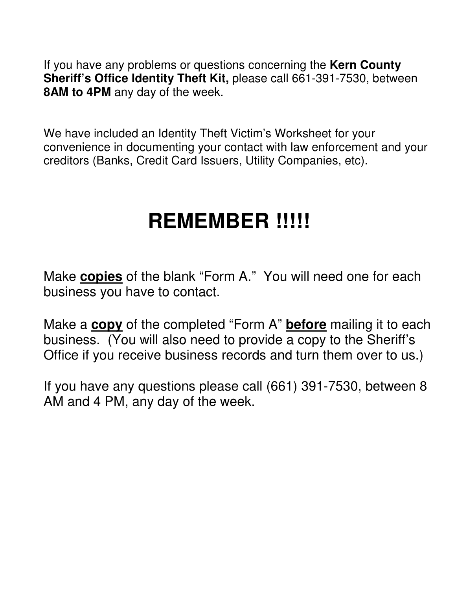If you have any problems or questions concerning the **Kern County Sheriff's Office Identity Theft Kit,** please call 661-391-7530, between **8AM to 4PM** any day of the week.

We have included an Identity Theft Victim's Worksheet for your convenience in documenting your contact with law enforcement and your creditors (Banks, Credit Card Issuers, Utility Companies, etc).

# **REMEMBER !!!!!**

Make **copies** of the blank "Form A." You will need one for each business you have to contact.

Make a **copy** of the completed "Form A" **before** mailing it to each business. (You will also need to provide a copy to the Sheriff's Office if you receive business records and turn them over to us.)

If you have any questions please call (661) 391-7530, between 8 AM and 4 PM, any day of the week.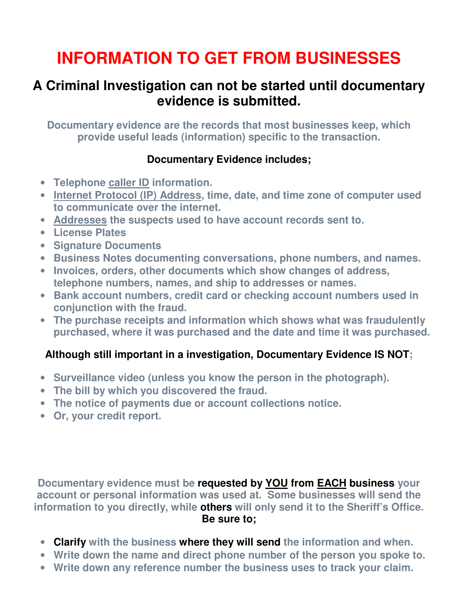# **INFORMATION TO GET FROM BUSINESSES**

# **A Criminal Investigation can not be started until documentary evidence is submitted.**

**Documentary evidence are the records that most businesses keep, which provide useful leads (information) specific to the transaction.** 

#### **Documentary Evidence includes;**

- **Telephone caller ID information.**
- **Internet Protocol (IP) Address, time, date, and time zone of computer used to communicate over the internet.**
- **Addresses the suspects used to have account records sent to.**
- **License Plates**
- **Signature Documents**
- **Business Notes documenting conversations, phone numbers, and names.**
- **Invoices, orders, other documents which show changes of address, telephone numbers, names, and ship to addresses or names.**
- **Bank account numbers, credit card or checking account numbers used in conjunction with the fraud.**
- **The purchase receipts and information which shows what was fraudulently purchased, where it was purchased and the date and time it was purchased.**

### **Although still important in a investigation, Documentary Evidence IS NOT;**

- **Surveillance video (unless you know the person in the photograph).**
- **The bill by which you discovered the fraud.**
- **The notice of payments due or account collections notice.**
- **Or, your credit report.**

**Documentary evidence must be requested by YOU from EACH business your account or personal information was used at. Some businesses will send the information to you directly, while others will only send it to the Sheriff's Office. Be sure to;**

- **Clarify with the business where they will send the information and when.**
- **Write down the name and direct phone number of the person you spoke to.**
- **Write down any reference number the business uses to track your claim.**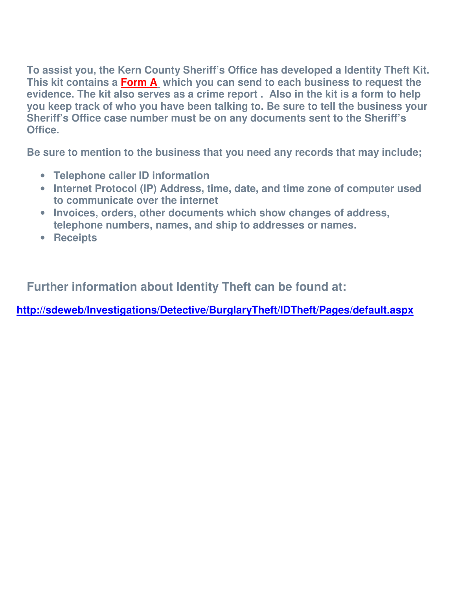**To assist you, the Kern County Sheriff's Office has developed a Identity Theft Kit. This kit contains a Form A which you can send to each business to request the evidence. The kit also serves as a crime report . Also in the kit is a form to help you keep track of who you have been talking to. Be sure to tell the business your Sheriff's Office case number must be on any documents sent to the Sheriff's Office.** 

**Be sure to mention to the business that you need any records that may include;** 

- **Telephone caller ID information**
- **Internet Protocol (IP) Address, time, date, and time zone of computer used to communicate over the internet**
- **Invoices, orders, other documents which show changes of address, telephone numbers, names, and ship to addresses or names.**
- **Receipts**

**Further information about Identity Theft can be found at:** 

**http://sdeweb/Investigations/Detective/BurglaryTheft/IDTheft/Pages/default.aspx**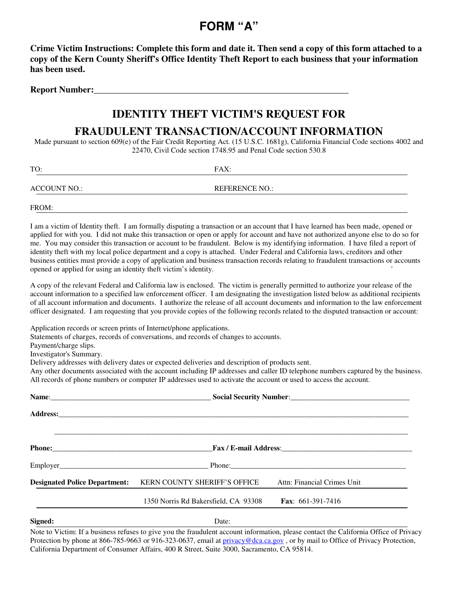### **FORM "A"**

**Crime Victim Instructions: Complete this form and date it. Then send a copy of this form attached to a copy of the Kern County Sheriff's Office Identity Theft Report to each business that your information has been used.** 

**Report Number:** 

### **IDENTITY THEFT VICTIM'S REQUEST FOR**

#### **FRAUDULENT TRANSACTION/ACCOUNT INFORMATION**

Made pursuant to section 609(e) of the Fair Credit Reporting Act. (15 U.S.C. 1681g), California Financial Code sections 4002 and 22470, Civil Code section 1748.95 and Penal Code section 530.8

| TO:          | FAX:                  |  |
|--------------|-----------------------|--|
| ACCOUNT NO.: | <b>REFERENCE NO.:</b> |  |
| FROM:        |                       |  |

I am a victim of Identity theft. I am formally disputing a transaction or an account that I have learned has been made, opened or applied for with you. I did not make this transaction or open or apply for account and have not authorized anyone else to do so for me. You may consider this transaction or account to be fraudulent. Below is my identifying information. I have filed a report of identity theft with my local police department and a copy is attached. Under Federal and California laws, creditors and other business entities must provide a copy of application and business transaction records relating to fraudulent transactions or accounts opened or applied for using an identity theft victim's identity. '

A copy of the relevant Federal and California law is enclosed. The victim is generally permitted to authorize your release of the account information to a specified law enforcement officer. I am designating the investigation listed below as additional recipients of all account information and documents. I authorize the release of all account documents and information to the law enforcement officer designated. I am requesting that you provide copies of the following records related to the disputed transaction or account:

Application records or screen prints of Internet/phone applications.

Statements of charges, records of conversations, and records of changes to accounts.

Payment/charge slips.

Investigator's Summary.

Delivery addresses with delivery dates or expected deliveries and description of products sent.

Any other documents associated with the account including IP addresses and caller ID telephone numbers captured by the business. All records of phone numbers or computer IP addresses used to activate the account or used to access the account.

|                                      |                                                                                                                 | Social Security Number:<br><u>Social Security Number:</u> |  |  |  |
|--------------------------------------|-----------------------------------------------------------------------------------------------------------------|-----------------------------------------------------------|--|--|--|
|                                      |                                                                                                                 |                                                           |  |  |  |
|                                      | Phone: Fax / E-mail Address: Fax / E-mail Address:                                                              |                                                           |  |  |  |
|                                      | Employer 2008 and 2008 and 2008 and 2008 and 2008 and 2008 and 2008 and 2008 and 2008 and 2008 and 2008 and 200 |                                                           |  |  |  |
| <b>Designated Police Department:</b> | KERN COUNTY SHERIFF'S OFFICE                                                                                    | Attn: Financial Crimes Unit                               |  |  |  |
|                                      | 1350 Norris Rd Bakersfield, CA 93308                                                                            | <b>Fax:</b> $661-391-7416$                                |  |  |  |
| Signed:                              | Date:                                                                                                           |                                                           |  |  |  |

Note to Victim: If a business refuses to give you the fraudulent account information, please contact the California Office of Privacy Protection by phone at 866-785-9663 or 916-323-0637, email at privacy@dca.ca.gov, or by mail to Office of Privacy Protection, California Department of Consumer Affairs, 400 R Street, Suite 3000, Sacramento, CA 95814.